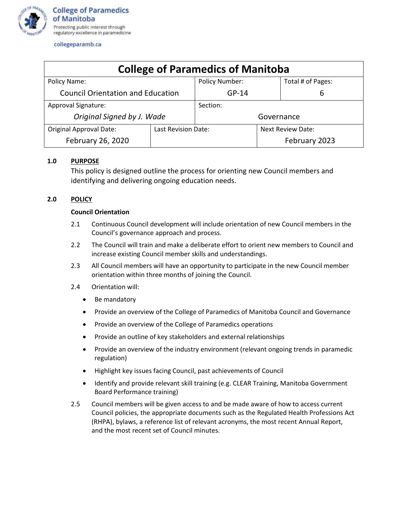

| <b>College of Paramedics of Manitoba</b> |                     |                |                          |                   |  |
|------------------------------------------|---------------------|----------------|--------------------------|-------------------|--|
| Policy Name:                             |                     | Policy Number: |                          | Total # of Pages: |  |
| <b>Council Orientation and Education</b> |                     | $GP-14$        |                          | 6                 |  |
| Approval Signature:                      |                     | Section:       |                          |                   |  |
| Original Signed by J. Wade               |                     | Governance     |                          |                   |  |
| <b>Original Approval Date:</b>           | Last Revision Date: |                | <b>Next Review Date:</b> |                   |  |
| February 26, 2020                        |                     |                |                          | February 2023     |  |

# **1.0 PURPOSE**

This policy is designed outline the process for orienting new Council members and identifying and delivering ongoing education needs.

# **2.0 POLICY**

# **Council Orientation**

- 2.1 Continuous Council development will include orientation of new Council members in the Council's governance approach and process.
- 2.2 The Council will train and make a deliberate effort to orient new members to Council and increase existing Council member skills and understandings.
- 2.3 All Council members will have an opportunity to participate in the new Council member orientation within three months of joining the Council.
- 2.4 Orientation will:
	- Be mandatory
	- Provide an overview of the College of Paramedics of Manitoba Council and Governance
	- Provide an overview of the College of Paramedics operations
	- Provide an outline of key stakeholders and external relationships
	- Provide an overview of the industry environment (relevant ongoing trends in paramedic regulation)
	- Highlight key issues facing Council, past achievements of Council
	- Identify and provide relevant skill training (e.g. CLEAR Training, Manitoba Government Board Performance training)
- 2.5 Council members will be given access to and be made aware of how to access current Council policies, the appropriate documents such as the Regulated Health Professions Act (RHPA), bylaws, a reference list of relevant acronyms, the most recent Annual Report, and the most recent set of Council minutes.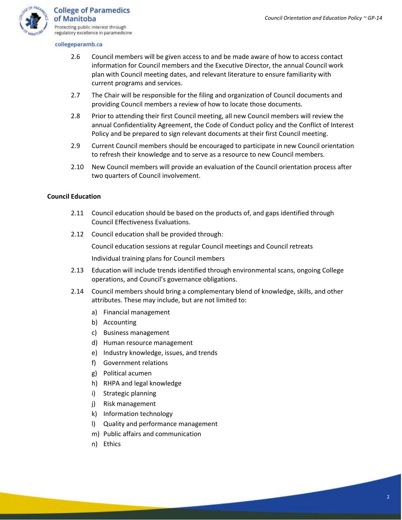

- 2.6 Council members will be given access to and be made aware of how to access contact information for Council members and the Executive Director, the annual Council work plan with Council meeting dates, and relevant literature to ensure familiarity with current programs and services.
- 2.7 The Chair will be responsible for the filing and organization of Council documents and providing Council members a review of how to locate those documents.
- 2.8 Prior to attending their first Council meeting, all new Council members will review the annual Confidentiality Agreement, the Code of Conduct policy and the Conflict of Interest Policy and be prepared to sign relevant documents at their first Council meeting.
- 2.9 Current Council members should be encouraged to participate in new Council orientation to refresh their knowledge and to serve as a resource to new Council members.
- 2.10 New Council members will provide an evaluation of the Council orientation process after two quarters of Council involvement.

#### **Council Education**

- 2.11 Council education should be based on the products of, and gaps identified through Council Effectiveness Evaluations.
- 2.12 Council education shall be provided through:

Council education sessions at regular Council meetings and Council retreats

Individual training plans for Council members

- 2.13 Education will include trends identified through environmental scans, ongoing College operations, and Council's governance obligations.
- 2.14 Council members should bring a complementary blend of knowledge, skills, and other attributes. These may include, but are not limited to:
	- a) Financial management
	- b) Accounting
	- c) Business management
	- d) Human resource management
	- e) Industry knowledge, issues, and trends
	- f) Government relations
	- g) Political acumen
	- h) RHPA and legal knowledge
	- i) Strategic planning
	- j) Risk management
	- k) Information technology
	- l) Quality and performance management
	- m) Public affairs and communication
	- n) Ethics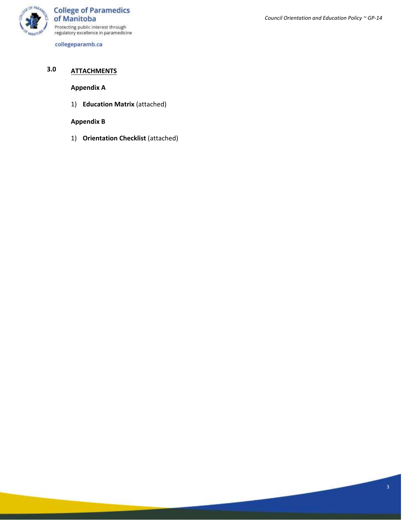

# *Council Orientation and Education Policy ~ GP-14*

# **3.0 ATTACHMENTS**

# **Appendix A**

1) **Education Matrix** (attached)

# **Appendix B**

1) **Orientation Checklist** (attached)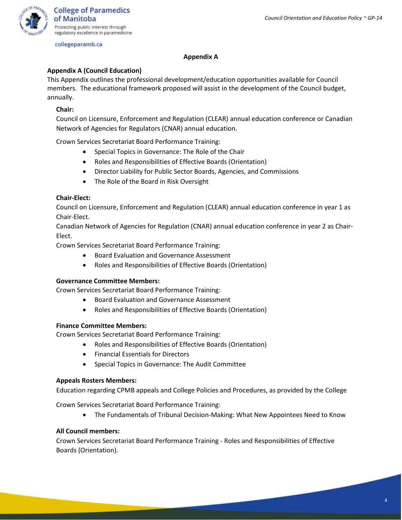

#### **Appendix A**

#### **Appendix A (Council Education)**

This Appendix outlines the professional development/education opportunities available for Council members. The educational framework proposed will assist in the development of the Council budget, annually.

# **Chair:**

Council on Licensure, Enforcement and Regulation (CLEAR) annual education conference or Canadian Network of Agencies for Regulators (CNAR) annual education.

Crown Services Secretariat Board Performance Training:

- Special Topics in Governance: The Role of the Chair
- Roles and Responsibilities of Effective Boards (Orientation)
- Director Liability for Public Sector Boards, Agencies, and Commissions
- The Role of the Board in Risk Oversight

#### **Chair-Elect:**

Council on Licensure, Enforcement and Regulation (CLEAR) annual education conference in year 1 as Chair-Elect.

Canadian Network of Agencies for Regulation (CNAR) annual education conference in year 2 as Chair-Elect.

Crown Services Secretariat Board Performance Training:

- Board Evaluation and Governance Assessment
- Roles and Responsibilities of Effective Boards (Orientation)

# **Governance Committee Members:**

Crown Services Secretariat Board Performance Training:

- Board Evaluation and Governance Assessment
- Roles and Responsibilities of Effective Boards (Orientation)

#### **Finance Committee Members:**

Crown Services Secretariat Board Performance Training:

- Roles and Responsibilities of Effective Boards (Orientation)
- Financial Essentials for Directors
- Special Topics in Governance: The Audit Committee

#### **Appeals Rosters Members:**

Education regarding CPMB appeals and College Policies and Procedures, as provided by the College

Crown Services Secretariat Board Performance Training:

• The Fundamentals of Tribunal Decision-Making: What New Appointees Need to Know

#### **All Council members:**

Crown Services Secretariat Board Performance Training - Roles and Responsibilities of Effective Boards (Orientation).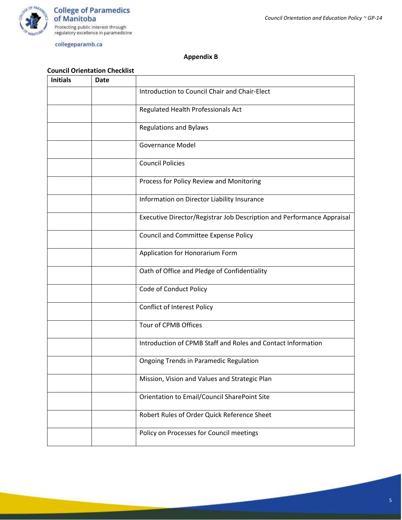

# **Appendix B**

# **Council Orientation Checklist**

| <b>Initials</b> | <b>Date</b> |                                                                        |
|-----------------|-------------|------------------------------------------------------------------------|
|                 |             | Introduction to Council Chair and Chair-Elect                          |
|                 |             | Regulated Health Professionals Act                                     |
|                 |             | <b>Regulations and Bylaws</b>                                          |
|                 |             | <b>Governance Model</b>                                                |
|                 |             | <b>Council Policies</b>                                                |
|                 |             | Process for Policy Review and Monitoring                               |
|                 |             | Information on Director Liability Insurance                            |
|                 |             | Executive Director/Registrar Job Description and Performance Appraisal |
|                 |             | <b>Council and Committee Expense Policy</b>                            |
|                 |             | Application for Honorarium Form                                        |
|                 |             | Oath of Office and Pledge of Confidentiality                           |
|                 |             | Code of Conduct Policy                                                 |
|                 |             | <b>Conflict of Interest Policy</b>                                     |
|                 |             | Tour of CPMB Offices                                                   |
|                 |             | Introduction of CPMB Staff and Roles and Contact Information           |
|                 |             | <b>Ongoing Trends in Paramedic Regulation</b>                          |
|                 |             | Mission, Vision and Values and Strategic Plan                          |
|                 |             | Orientation to Email/Council SharePoint Site                           |
|                 |             | Robert Rules of Order Quick Reference Sheet                            |
|                 |             | Policy on Processes for Council meetings                               |